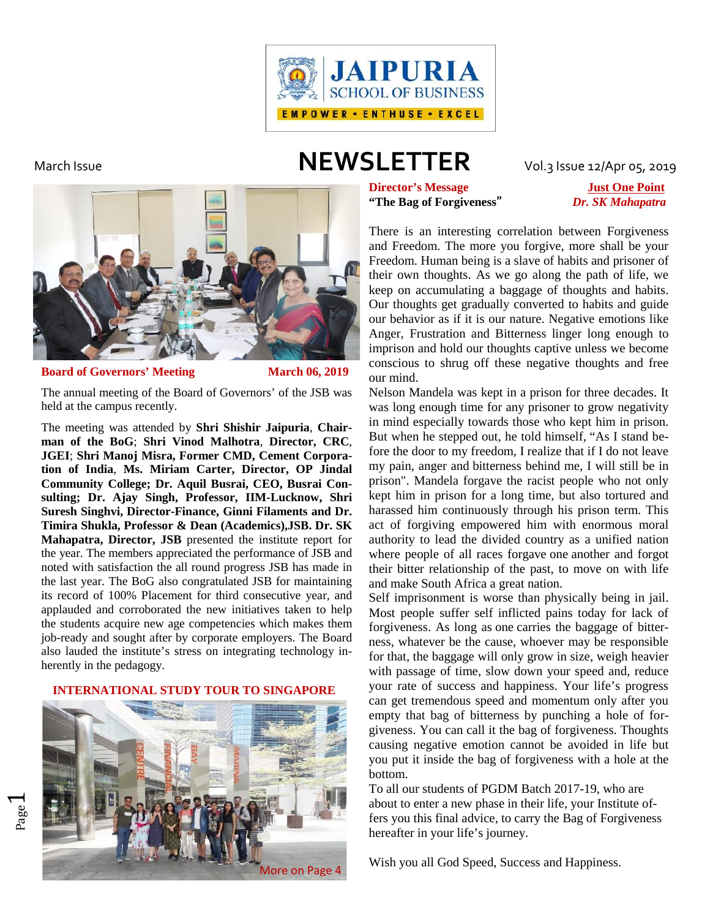

# March Issue **NEWSLETTER** Vol.3 Issue 12/Apr 05, 2019



### **Board of Governors' Meeting March 06, 2019**

The annual meeting of the Board of Governors' of the JSB was held at the campus recently.

The meeting was attended by **Shri Shishir Jaipuria**, **Chairman of the BoG**; **Shri Vinod Malhotra**, **Director, CRC**, **JGEI**; **Shri Manoj Misra, Former CMD, Cement Corporation of India**, **Ms. Miriam Carter, Director, OP Jindal Community College; Dr. Aquil Busrai, CEO, Busrai Consulting; Dr. Ajay Singh, Professor, IIM-Lucknow, Shri Suresh Singhvi, Director-Finance, Ginni Filaments and Dr. Timira Shukla, Professor & Dean (Academics),JSB. Dr. SK Mahapatra, Director, JSB** presented the institute report for the year. The members appreciated the performance of JSB and noted with satisfaction the all round progress JSB has made in the last year. The BoG also congratulated JSB for maintaining its record of 100% Placement for third consecutive year, and applauded and corroborated the new initiatives taken to help the students acquire new age competencies which makes them job-ready and sought after by corporate employers. The Board also lauded the institute's stress on integrating technology inherently in the pedagogy.

### **INTERNATIONAL STUDY TOUR TO SINGAPORE**



 $\overline{\phantom{0}}$ 

**Director's Message Just One Point "The Bag of Forgiveness"** *Dr. SK Mahapatra*

There is an interesting correlation between Forgiveness and Freedom. The more you forgive, more shall be your Freedom. Human being is a slave of habits and prisoner of their own thoughts. As we go along the path of life, we keep on accumulating a baggage of thoughts and habits. Our thoughts get gradually converted to habits and guide our behavior as if it is our nature. Negative emotions like Anger, Frustration and Bitterness linger long enough to imprison and hold our thoughts captive unless we become conscious to shrug off these negative thoughts and free our mind.

Nelson Mandela was kept in a prison for three decades. It was long enough time for any prisoner to grow negativity in mind especially towards those who kept him in prison. But when he stepped out, he told himself, "As I stand before the door to my freedom, I realize that if I do not leave my pain, anger and bitterness behind me, I will still be in prison". Mandela forgave the racist people who not only kept him in prison for a long time, but also tortured and harassed him continuously through his prison term. This act of forgiving empowered him with enormous moral authority to lead the divided country as a unified nation where people of all races forgave one another and forgot their bitter relationship of the past, to move on with life and make South Africa a great nation.

Self imprisonment is worse than physically being in jail. Most people suffer self inflicted pains today for lack of forgiveness. As long as one carries the baggage of bitterness, whatever be the cause, whoever may be responsible for that, the baggage will only grow in size, weigh heavier with passage of time, slow down your speed and, reduce your rate of success and happiness. Your life's progress can get tremendous speed and momentum only after you empty that bag of bitterness by punching a hole of forgiveness. You can call it the bag of forgiveness. Thoughts causing negative emotion cannot be avoided in life but you put it inside the bag of forgiveness with a hole at the bottom.

To all our students of PGDM Batch 2017-19, who are about to enter a new phase in their life, your Institute offers you this final advice, to carry the Bag of Forgiveness hereafter in your life's journey.

Wish you all God Speed, Success and Happiness.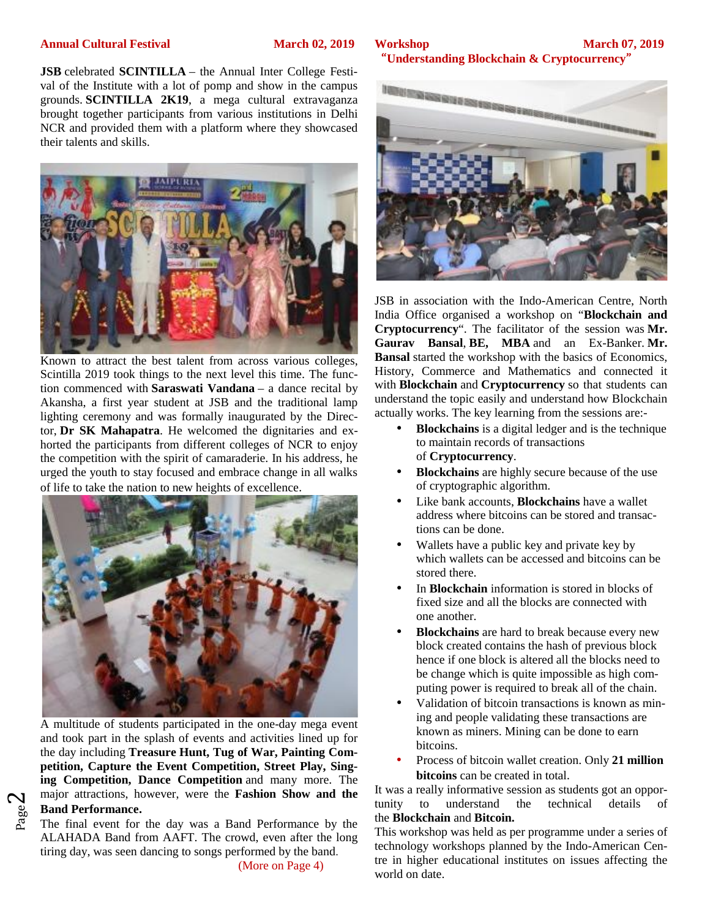### **Annual Cultural Festival March 02, 2019 Workshop**

**JSB** celebrated **SCINTILLA** – the Annual Inter College Festival of the Institute with a lot of pomp and show in the campus<br>
SCINTIFICA 2K19. a mega cultural extravaganza grounds. **SCINTILLA 2K19**, a mega cultural extravaganza brought together participants from various institutions in Delhi NCR and provided them with a platform where they showcased their talents and skills.



Known to attract the best talent from across various colleges, Scintilla 2019 took things to the next level this time. The function commenced with **Saraswati Vandana** – a dance recital by Akansha, a first year student at JSB and the traditional lamp lighting ceremony and was formally inaugurated by the Director, **Dr SK Mahapatra**. He welcomed the dignitaries and exhorted the participants from different colleges of NCR to enjoy the competition with the spirit of camaraderie. In his address, he urged the youth to stay focused and embrace change in all walks of life to take the nation to new heights of excellence.



 **Band Performance.** A multitude of students participated in the one-day mega event and took part in the splash of events and activities lined up for the day including **Treasure Hunt, Tug of War, Painting Competition, Capture the Event Competition, Street Play, Singing Competition, Dance Competition** and many more. The major attractions, however, were the **Fashion Show and the** <sup>It was</sup> tunity

 $\mathrel{\sim}$ 

## $\frac{a}{b}$  **Band Performance.**<br>The final event for the day was a Band Performance by the  $\frac{b}{c}$ ALAHADA Band from AAFT. The crowd, even after the long tiring day, was seen dancing to songs performed by the band.

(More on Page 4)

### **March 07, 2019 "Understanding Blockchain & Cryptocurrency"**



JSB in association with the Indo-American Centre, North India Office organised a workshop on "**Blockchain and Cryptocurrency**". The facilitator of the session was **Mr. Gaurav Bansal**, **BE, MBA** and an Ex-Banker. **Mr. Bansal** started the workshop with the basics of Economics, History, Commerce and Mathematics and connected it with **Blockchain** and **Cryptocurrency** so that students can understand the topic easily and understand how Blockchain actually works. The key learning from the sessions are:-

- **Blockchains** is a digital ledger and is the technique to maintain records of transactions of **Cryptocurrency**.
- **Blockchains** are highly secure because of the use of cryptographic algorithm.
- Like bank accounts, **Blockchains** have a wallet address where bitcoins can be stored and transactions can be done.
- Wallets have a public key and private key by which wallets can be accessed and bitcoins can be stored there.
- In **Blockchain** information is stored in blocks of fixed size and all the blocks are connected with one another.
- **Blockchains** are hard to break because every new block created contains the hash of previous block hence if one block is altered all the blocks need to be change which is quite impossible as high computing power is required to break all of the chain.
- Validation of bitcoin transactions is known as mining and people validating these transactions are known as miners. Mining can be done to earn bitcoins.
- Process of bitcoin wallet creation. Only **21 million bitcoins** can be created in total.

It was a really informative session as students got an opporto understand the technical details of the **Blockchain** and **Bitcoin.**

This workshop was held as per programme under a series of technology workshops planned by the Indo-American Centre in higher educational institutes on issues affecting the world on date.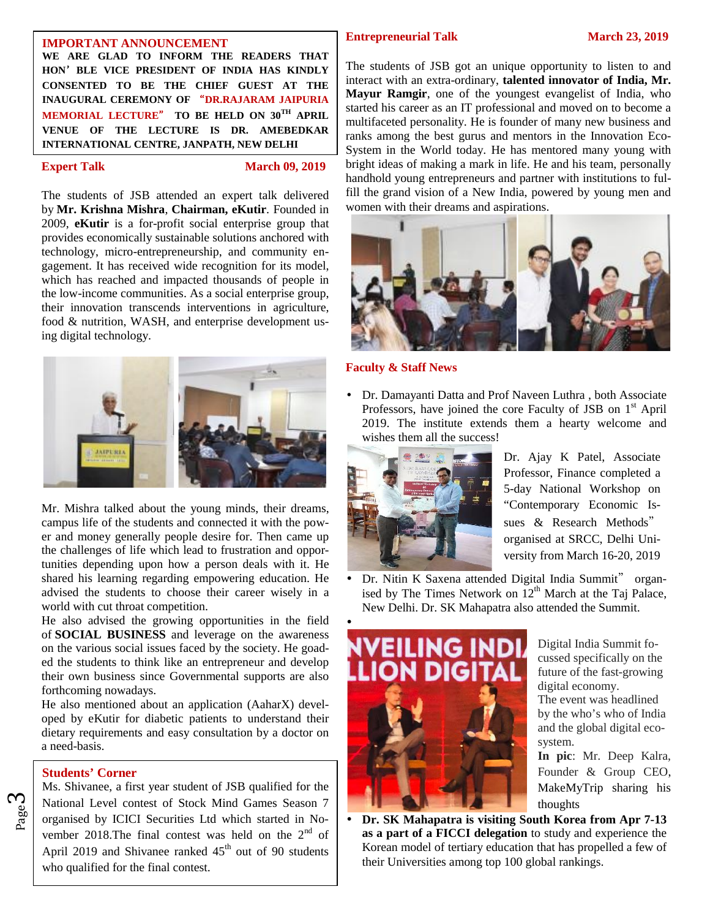### **IMPORTANT ANNOUNCEMENT**

**WE ARE GLAD TO INFORM THE READERS THAT HON'BLE VICE PRESIDENT OF INDIA HAS KINDLY CONSENTED TO BE THE CHIEF GUEST AT THE INAUGURAL CEREMONY OF "DR.RAJARAM JAIPURIA MEMORIAL LECTURE" TO BE HELD ON 30TH APRIL VENUE OF THE LECTURE IS DR. AMEBEDKAR INTERNATIONAL CENTRE, JANPATH, NEW DELHI**

**Expert Talk March 09, 2019** 

The students of JSB attended an expert talk delivered by **Mr. Krishna Mishra**, **Chairman, eKutir**. Founded in 2009, **eKutir** is a for-profit social enterprise group that provides economically sustainable solutions anchored with technology, micro-entrepreneurship, and community engagement. It has received wide recognition for its model, which has reached and impacted thousands of people in the low-income communities. As a social enterprise group, their innovation transcends interventions in agriculture, food & nutrition, WASH, and enterprise development using digital technology.



Mr. Mishra talked about the young minds, their dreams, campus life of the students and connected it with the power and money generally people desire for. Then came up the challenges of life which lead to frustration and opportunities depending upon how a person deals with it. He shared his learning regarding empowering education. He advised the students to choose their career wisely in a world with cut throat competition.

He also advised the growing opportunities in the field of **SOCIAL BUSINESS** and leverage on the awareness on the various social issues faced by the society. He goaded the students to think like an entrepreneur and develop their own business since Governmental supports are also forthcoming nowadays.

He also mentioned about an application (AaharX) developed by eKutir for diabetic patients to understand their dietary requirements and easy consultation by a doctor on a need-basis.

### **Students' Corner**

ო

 $\begin{bmatrix} 80 \\ 80 \\ 20 \end{bmatrix}$  organised by ICICI Securities Ltd which started in No-National Level contest of Stock Mind Games Season 7 Ms. Shivanee, a first year student of JSB qualified for the vember 2018. The final contest was held on the  $2<sup>nd</sup>$  of April 2019 and Shivanee ranked  $45<sup>th</sup>$  out of 90 students who qualified for the final contest.

### **Entrepreneurial Talk March 23, 2019**

The students of JSB got an unique opportunity to listen to and interact with an extra-ordinary, **talented innovator of India, Mr. Mayur Ramgir**, one of the youngest evangelist of India, who started his career as an IT professional and moved on to become a multifaceted personality. He is founder of many new business and ranks among the best gurus and mentors in the Innovation Eco- System in the World today. He has mentored many young with bright ideas of making a mark in life. He and his team, personally handhold young entrepreneurs and partner with institutions to fulfill the grand vision of a New India, powered by young men and women with their dreams and aspirations.



### **Faculty & Staff News**

 Dr. Damayanti Datta and Prof Naveen Luthra , both Associate Professors, have joined the core Faculty of JSB on  $1<sup>st</sup>$  April 2019. The institute extends them a hearty welcome and wishes them all the success!



Dr. Ajay K Patel, Associate Professor, Finance completed a 5-day National Workshop on "Contemporary Economic Issues & Research Methods" organised at SRCC, Delhi University from March 16-20, 2019

 Dr. Nitin K Saxena attended Digital India Summit" organised by The Times Network on  $12<sup>th</sup>$  March at the Taj Palace, New Delhi. Dr. SK Mahapatra also attended the Summit.



Digital India Summit focussed specifically on the future of the fast-growing digital economy. The event was headlined by the who's who of India and the global digital ecosystem. **In pic**: Mr. Deep Kalra,

Founder & Group CEO, MakeMyTrip sharing his thoughts

 **Dr. SK Mahapatra is visiting South Korea from Apr 7-13 as a part of a FICCI delegation** to study and experience the Korean model of tertiary education that has propelled a few of their Universities among top 100 global rankings.